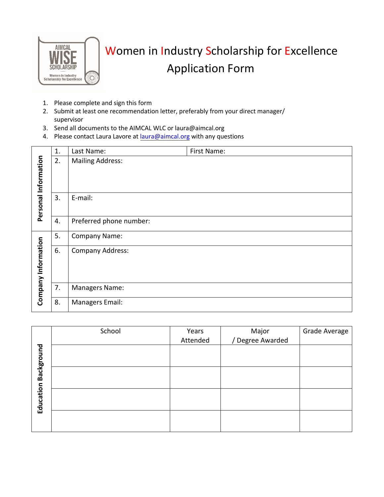

## Women in Industry Scholarship for Excellence Application Form

- 1. Please complete and sign this form
- 2. Submit at least one recommendation letter, preferably from your direct manager/ supervisor
- 3. Send all documents to the AIMCAL WLC or laura@aimcal.org
- 4. Please contact Laura Lavore at [laura@aimcal.org](mailto:laura@aimcal.org) with any questions

|                      | 1. | Last Name:              | First Name: |
|----------------------|----|-------------------------|-------------|
| Personal Information | 2. | <b>Mailing Address:</b> |             |
|                      | 3. | E-mail:                 |             |
|                      | 4. | Preferred phone number: |             |
|                      | 5. | <b>Company Name:</b>    |             |
| Company Information  | 6. | <b>Company Address:</b> |             |
|                      | 7. | Managers Name:          |             |
|                      | 8. | Managers Email:         |             |

|                      | School | Years    | Major<br>Degree Awarded / | Grade Average |
|----------------------|--------|----------|---------------------------|---------------|
|                      |        | Attended |                           |               |
|                      |        |          |                           |               |
|                      |        |          |                           |               |
| Education Background |        |          |                           |               |
|                      |        |          |                           |               |
|                      |        |          |                           |               |
|                      |        |          |                           |               |
|                      |        |          |                           |               |
|                      |        |          |                           |               |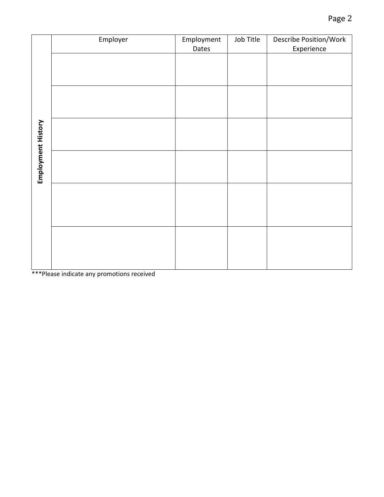| Employer | Employment | Job Title | Describe Position/Work<br>Experience |
|----------|------------|-----------|--------------------------------------|
|          |            |           |                                      |
|          |            |           |                                      |
|          |            |           |                                      |
|          |            |           |                                      |
|          |            |           |                                      |
|          |            |           |                                      |
|          |            |           |                                      |
|          |            |           |                                      |
|          |            |           |                                      |
|          |            |           |                                      |
|          |            |           |                                      |
|          |            |           |                                      |
|          |            | Dates     |                                      |

\*\*\*Please indicate any promotions received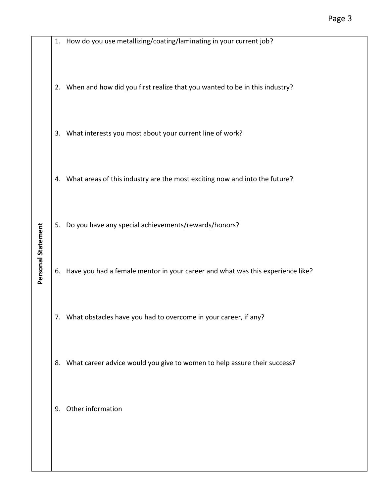|    | 1. How do you use metallizing/coating/laminating in your current job?          |
|----|--------------------------------------------------------------------------------|
| 2. | When and how did you first realize that you wanted to be in this industry?     |
|    | 3. What interests you most about your current line of work?                    |
|    | 4. What areas of this industry are the most exciting now and into the future?  |
| 5. | Do you have any special achievements/rewards/honors?                           |
| 6. | Have you had a female mentor in your career and what was this experience like? |
|    | 7. What obstacles have you had to overcome in your career, if any?             |
| 8. | What career advice would you give to women to help assure their success?       |
| 9. | Other information                                                              |

**Personal Statement**

Personal Statement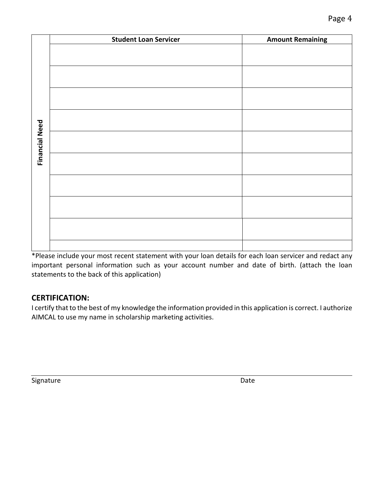|                       | <b>Student Loan Servicer</b> | <b>Amount Remaining</b> |
|-----------------------|------------------------------|-------------------------|
|                       |                              |                         |
|                       |                              |                         |
|                       |                              |                         |
|                       |                              |                         |
|                       |                              |                         |
|                       |                              |                         |
|                       |                              |                         |
|                       |                              |                         |
| <b>Financial Need</b> |                              |                         |
|                       |                              |                         |
|                       |                              |                         |
|                       |                              |                         |
|                       |                              |                         |
|                       |                              |                         |
|                       |                              |                         |
|                       |                              |                         |
|                       |                              |                         |

\*Please include your most recent statement with your loan details for each loan servicer and redact any important personal information such as your account number and date of birth. (attach the loan statements to the back of this application)

## **CERTIFICATION:**

I certify that to the best of my knowledge the information provided in this application is correct. I authorize AIMCAL to use my name in scholarship marketing activities.

Signature Date Date Date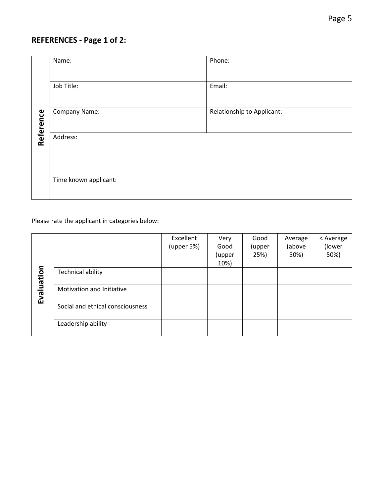## **REFERENCES - Page 1 of 2:**

|           | Name:                 | Phone:                     |  |  |  |
|-----------|-----------------------|----------------------------|--|--|--|
|           | Job Title:            | Email:                     |  |  |  |
| Reference | Company Name:         | Relationship to Applicant: |  |  |  |
|           | Address:              |                            |  |  |  |
|           | Time known applicant: |                            |  |  |  |

Please rate the applicant in categories below:

| Evaluation |                                  | Excellent<br>(upper 5%) | Very<br>Good<br>(upper<br>10%) | Good<br>(upper<br>25%) | Average<br>(above<br>50%) | < Average<br>(lower<br>50%) |
|------------|----------------------------------|-------------------------|--------------------------------|------------------------|---------------------------|-----------------------------|
|            | <b>Technical ability</b>         |                         |                                |                        |                           |                             |
|            | Motivation and Initiative        |                         |                                |                        |                           |                             |
|            | Social and ethical consciousness |                         |                                |                        |                           |                             |
|            | Leadership ability               |                         |                                |                        |                           |                             |